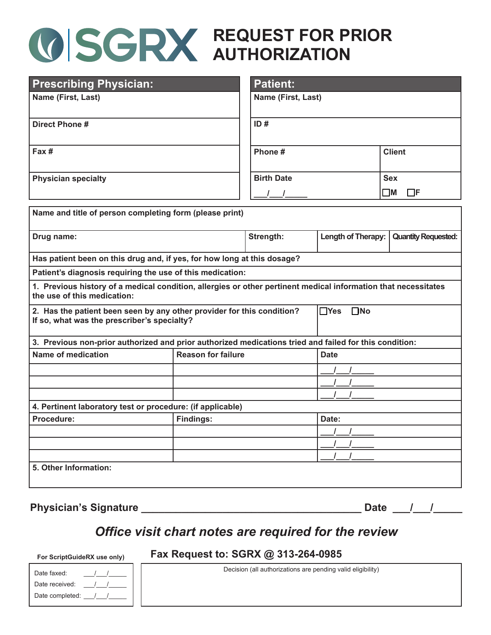# **REQUEST FOR PRIOR AUTHORIZATION**

| <b>Prescribing Physician:</b>                                                                                                                 |  | <b>Patient:</b>      |                                |                            |  |
|-----------------------------------------------------------------------------------------------------------------------------------------------|--|----------------------|--------------------------------|----------------------------|--|
| Name (First, Last)                                                                                                                            |  | Name (First, Last)   |                                |                            |  |
| <b>Direct Phone #</b>                                                                                                                         |  | ID#                  |                                |                            |  |
| Fax #                                                                                                                                         |  | Phone #              |                                | <b>Client</b>              |  |
| <b>Physician specialty</b>                                                                                                                    |  | <b>Birth Date</b>    |                                | <b>Sex</b>                 |  |
|                                                                                                                                               |  |                      |                                | $\square$ M<br>$\Box$ F    |  |
| Name and title of person completing form (please print)                                                                                       |  |                      |                                |                            |  |
| Drug name:                                                                                                                                    |  | Strength:            | Length of Therapy:             | <b>Quantity Requested:</b> |  |
| Has patient been on this drug and, if yes, for how long at this dosage?                                                                       |  |                      |                                |                            |  |
| Patient's diagnosis requiring the use of this medication:                                                                                     |  |                      |                                |                            |  |
| 1. Previous history of a medical condition, allergies or other pertinent medical information that necessitates<br>the use of this medication: |  |                      |                                |                            |  |
| 2. Has the patient been seen by any other provider for this condition?<br>If so, what was the prescriber's specialty?                         |  | $\Box$ Yes $\Box$ No |                                |                            |  |
| 3. Previous non-prior authorized and prior authorized medications tried and failed for this condition:                                        |  |                      |                                |                            |  |
| <b>Reason for failure</b><br><b>Name of medication</b>                                                                                        |  |                      | <b>Date</b>                    |                            |  |
|                                                                                                                                               |  |                      |                                |                            |  |
|                                                                                                                                               |  |                      |                                |                            |  |
|                                                                                                                                               |  |                      |                                |                            |  |
| 4. Pertinent laboratory test or procedure: (if applicable)                                                                                    |  |                      |                                |                            |  |
| <b>Findings:</b><br>Procedure:                                                                                                                |  |                      | Date:                          |                            |  |
|                                                                                                                                               |  |                      | $\frac{1}{2}$<br>$\mathcal{L}$ |                            |  |
|                                                                                                                                               |  |                      |                                |                            |  |
| 5. Other Information:                                                                                                                         |  |                      |                                |                            |  |
|                                                                                                                                               |  |                      |                                |                            |  |
|                                                                                                                                               |  |                      |                                |                            |  |

**Physician's Signature \_\_\_\_\_\_\_\_\_\_\_\_\_\_\_\_\_\_\_\_\_\_\_\_\_\_\_\_\_\_\_\_\_\_\_\_\_\_ Date \_\_\_/\_\_\_/\_\_\_\_\_**

## *Office visit chart notes are required for the review*

#### **Fax Request to: SGRX @ 313-264-0985**

| Date faxed:     |  |
|-----------------|--|
| Date received:  |  |
| Date completed: |  |

**For ScriptGuideRX use only)**

Decision (all authorizations are pending valid eligibility)